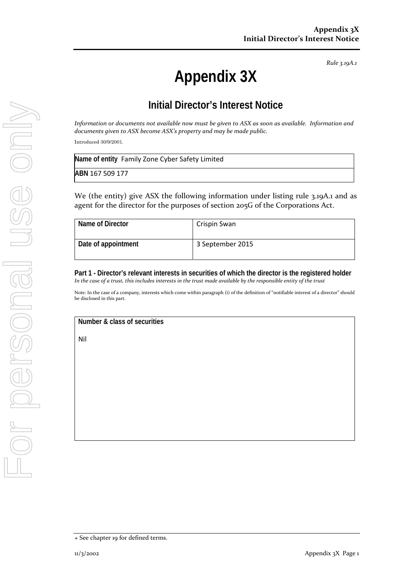# **Appendix 3X**

## **Initial Director's Interest Notice**

Information or documents not available now must be given to ASX as soon as available. Information and *documents given to ASX become ASX's property and may be made public.*

Introduced 30/9/2001.

| Name of entity Family Zone Cyber Safety Limited |  |
|-------------------------------------------------|--|
| ABN 167 509 177                                 |  |

We (the entity) give ASX the following information under listing rule 3.19A.1 and as agent for the director for the purposes of section 205G of the Corporations Act.

| Name of Director    | Crispin Swan     |
|---------------------|------------------|
| Date of appointment | 3 September 2015 |

**Part 1 - Director's relevant interests in securities of which the director is the registered holder**  In the case of a trust, this includes interests in the trust made available by the responsible entity of the trust

Note: In the case of a company, interests which come within paragraph (i) of the definition of "notifiable interest of a director" should be disclosed in this part.

**Number & class of securities** 

Nil

<sup>+</sup> See chapter 19 for defined terms.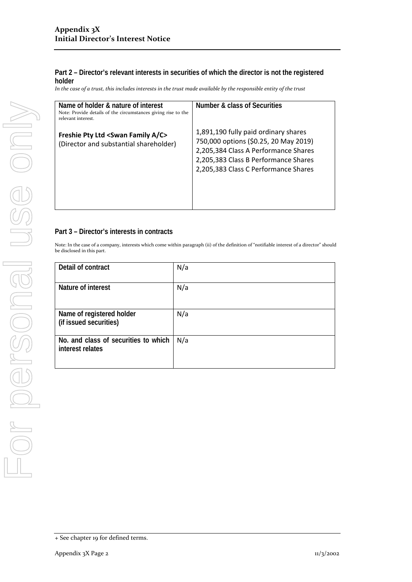In the case of a trust, this includes interests in the trust made available by the responsible entity of the trust

| Name of holder & nature of interest<br>Note: Provide details of the circumstances giving rise to the<br>relevant interest. | Number & class of Securities                                                                                                                                                                          |
|----------------------------------------------------------------------------------------------------------------------------|-------------------------------------------------------------------------------------------------------------------------------------------------------------------------------------------------------|
| Freshie Pty Ltd <swan a="" c="" family=""><br/>(Director and substantial shareholder)</swan>                               | 1,891,190 fully paid ordinary shares<br>750,000 options (\$0.25, 20 May 2019)<br>2,205,384 Class A Performance Shares<br>2,205,383 Class B Performance Shares<br>2,205,383 Class C Performance Shares |

### **Part 3 – Director's interests in contracts**

| Detail of contract                                       | N/a |
|----------------------------------------------------------|-----|
| Nature of interest                                       | N/a |
| Name of registered holder<br>(if issued securities)      | N/a |
| No. and class of securities to which<br>interest relates | N/a |

<sup>+</sup> See chapter 19 for defined terms.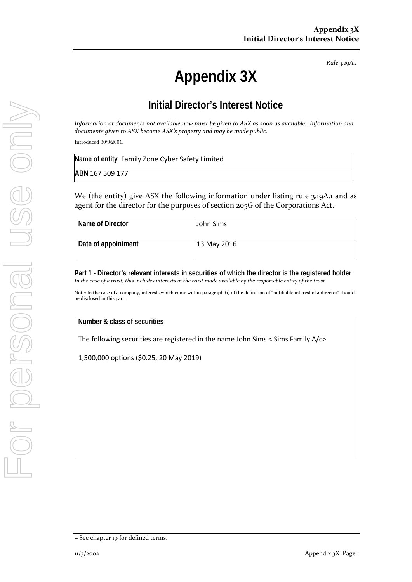# **Appendix 3X**

## **Initial Director's Interest Notice**

Information or documents not available now must be given to ASX as soon as available. Information and *documents given to ASX become ASX's property and may be made public.*

Introduced 30/9/2001.

| Name of entity Family Zone Cyber Safety Limited |  |
|-------------------------------------------------|--|
| ABN 167 509 177                                 |  |

We (the entity) give ASX the following information under listing rule 3.19A.1 and as agent for the director for the purposes of section 205G of the Corporations Act.

| Name of Director    | John Sims   |
|---------------------|-------------|
| Date of appointment | 13 May 2016 |

**Part 1 - Director's relevant interests in securities of which the director is the registered holder**  In the case of a trust, this includes interests in the trust made available by the responsible entity of the trust

Note: In the case of a company, interests which come within paragraph (i) of the definition of "notifiable interest of a director" should be disclosed in this part.

**Number & class of securities** 

The following securities are registered in the name John Sims < Sims Family A/c>

1,500,000 options (\$0.25, 20 May 2019)

<sup>+</sup> See chapter 19 for defined terms.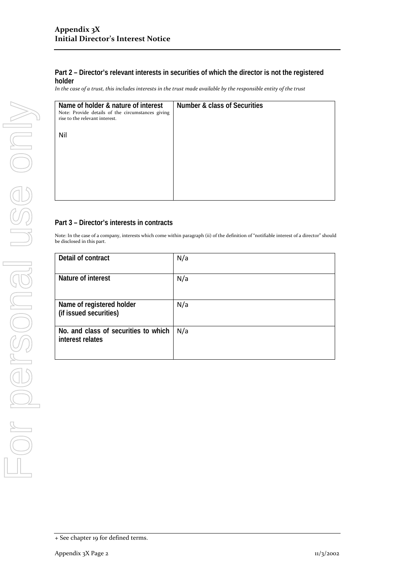In the case of a trust, this includes interests in the trust made available by the responsible entity of the trust

| Name of holder & nature of interest<br>Note: Provide details of the circumstances giving<br>rise to the relevant interest. | Number & class of Securities |
|----------------------------------------------------------------------------------------------------------------------------|------------------------------|
| Nil                                                                                                                        |                              |
|                                                                                                                            |                              |
|                                                                                                                            |                              |
|                                                                                                                            |                              |

### **Part 3 – Director's interests in contracts**

| Detail of contract                                       | N/a |
|----------------------------------------------------------|-----|
| Nature of interest                                       | N/a |
| Name of registered holder<br>(if issued securities)      | N/a |
| No. and class of securities to which<br>interest relates | N/a |

<sup>+</sup> See chapter 19 for defined terms.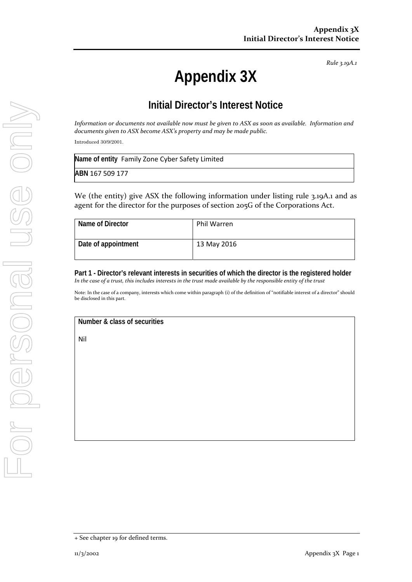# **Appendix 3X**

## **Initial Director's Interest Notice**

Information or documents not available now must be given to ASX as soon as available. Information and *documents given to ASX become ASX's property and may be made public.*

Introduced 30/9/2001.

| Name of entity Family Zone Cyber Safety Limited |  |
|-------------------------------------------------|--|
| ABN 167 509 177                                 |  |

We (the entity) give ASX the following information under listing rule 3.19A.1 and as agent for the director for the purposes of section 205G of the Corporations Act.

| Name of Director    | Phil Warren |
|---------------------|-------------|
| Date of appointment | 13 May 2016 |

**Part 1 - Director's relevant interests in securities of which the director is the registered holder**  In the case of a trust, this includes interests in the trust made available by the responsible entity of the trust

Note: In the case of a company, interests which come within paragraph (i) of the definition of "notifiable interest of a director" should be disclosed in this part.

**Number & class of securities** 

Nil

<sup>+</sup> See chapter 19 for defined terms.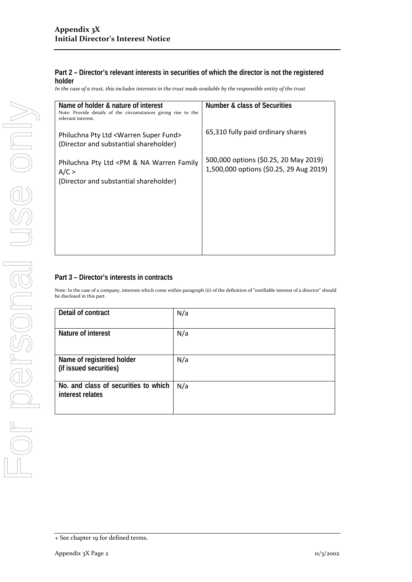In the case of a trust, this includes interests in the trust made available by the responsible entity of the trust

| Name of holder & nature of interest<br>Note: Provide details of the circumstances giving rise to the<br>relevant interest. | <b>Number &amp; class of Securities</b>                                          |
|----------------------------------------------------------------------------------------------------------------------------|----------------------------------------------------------------------------------|
| Philuchna Pty Ltd <warren fund="" super=""><br/>(Director and substantial shareholder)</warren>                            | 65,310 fully paid ordinary shares                                                |
| Philuchna Pty Ltd <pm &="" family<br="" na="" warren="">A/C &gt;<br/>(Director and substantial shareholder)</pm>           | 500,000 options (\$0.25, 20 May 2019)<br>1,500,000 options (\$0.25, 29 Aug 2019) |
|                                                                                                                            |                                                                                  |
|                                                                                                                            |                                                                                  |
|                                                                                                                            |                                                                                  |

### **Part 3 – Director's interests in contracts**

| Detail of contract                                       | N/a |
|----------------------------------------------------------|-----|
| Nature of interest                                       | N/a |
| Name of registered holder<br>(if issued securities)      | N/a |
| No. and class of securities to which<br>interest relates | N/a |

<sup>+</sup> See chapter 19 for defined terms.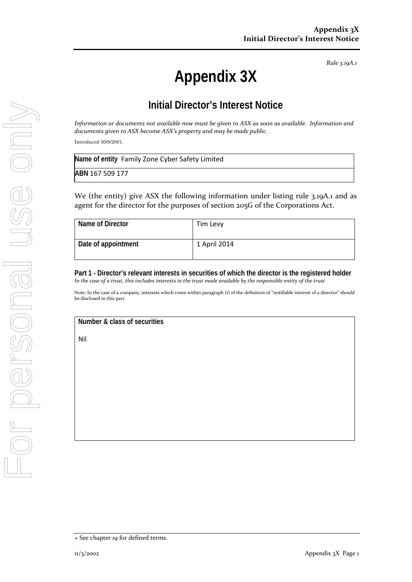# **Appendix 3X**

## **Initial Director's Interest Notice**

Information or documents not available now must be given to ASX as soon as available. Information and *documents given to ASX become ASX's property and may be made public.*

Introduced 30/9/2001.

| Name of entity Family Zone Cyber Safety Limited |  |
|-------------------------------------------------|--|
| ABN 167 509 177                                 |  |

We (the entity) give ASX the following information under listing rule 3.19A.1 and as agent for the director for the purposes of section 205G of the Corporations Act.

| Name of Director    | Tim Levy     |
|---------------------|--------------|
| Date of appointment | 1 April 2014 |

**Part 1 - Director's relevant interests in securities of which the director is the registered holder**  In the case of a trust, this includes interests in the trust made available by the responsible entity of the trust

Note: In the case of a company, interests which come within paragraph (i) of the definition of "notifiable interest of a director" should be disclosed in this part.

**Number & class of securities** 

Nil

<sup>+</sup> See chapter 19 for defined terms.